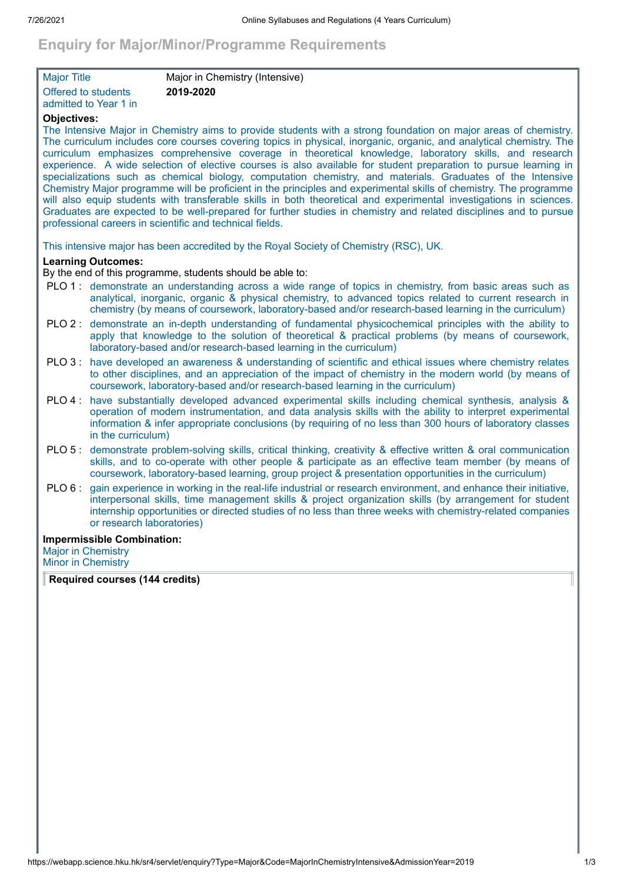# **Enquiry for Major/Minor/Programme Requirements**

| <b>Major Title</b>    | Major in Chemistry (Intensive) |
|-----------------------|--------------------------------|
| Offered to students   | 2019-2020                      |
| admitted to Year 1 in |                                |

## **Objectives:**

The Intensive Major in Chemistry aims to provide students with a strong foundation on major areas of chemistry. The curriculum includes core courses covering topics in physical, inorganic, organic, and analytical chemistry. The curriculum emphasizes comprehensive coverage in theoretical knowledge, laboratory skills, and research experience. A wide selection of elective courses is also available for student preparation to pursue learning in specializations such as chemical biology, computation chemistry, and materials. Graduates of the Intensive Chemistry Major programme will be proficient in the principles and experimental skills of chemistry. The programme will also equip students with transferable skills in both theoretical and experimental investigations in sciences. Graduates are expected to be well-prepared for further studies in chemistry and related disciplines and to pursue professional careers in scientific and technical fields.

This intensive major has been accredited by the Royal Society of Chemistry (RSC), UK.

## **Learning Outcomes:**

By the end of this programme, students should be able to:

- PLO 1 : demonstrate an understanding across a wide range of topics in chemistry, from basic areas such as analytical, inorganic, organic & physical chemistry, to advanced topics related to current research in chemistry (by means of coursework, laboratory-based and/or research-based learning in the curriculum)
- PLO 2 : demonstrate an in-depth understanding of fundamental physicochemical principles with the ability to apply that knowledge to the solution of theoretical & practical problems (by means of coursework, laboratory-based and/or research-based learning in the curriculum)
- PLO 3 : have developed an awareness & understanding of scientific and ethical issues where chemistry relates to other disciplines, and an appreciation of the impact of chemistry in the modern world (by means of coursework, laboratory-based and/or research-based learning in the curriculum)
- PLO 4 : have substantially developed advanced experimental skills including chemical synthesis, analysis & operation of modern instrumentation, and data analysis skills with the ability to interpret experimental information & infer appropriate conclusions (by requiring of no less than 300 hours of laboratory classes in the curriculum)
- PLO 5 : demonstrate problem-solving skills, critical thinking, creativity & effective written & oral communication skills, and to co-operate with other people & participate as an effective team member (by means of coursework, laboratory-based learning, group project & presentation opportunities in the curriculum)
- PLO 6 : gain experience in working in the real-life industrial or research environment, and enhance their initiative, interpersonal skills, time management skills & project organization skills (by arrangement for student internship opportunities or directed studies of no less than three weeks with chemistry-related companies or research laboratories)

### **Impermissible Combination:**

Major in Chemistry Minor in Chemistry

**Required courses (144 credits)**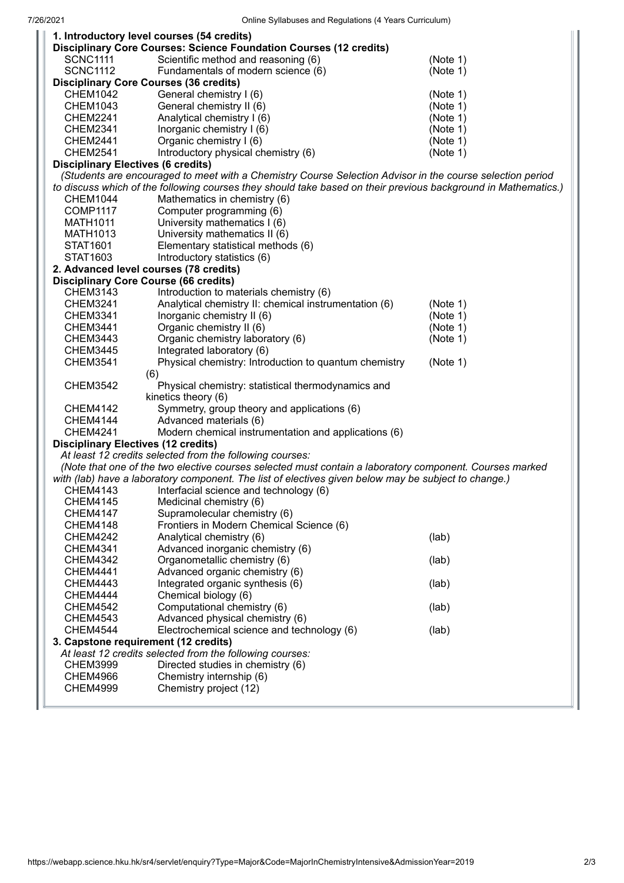| 1. Introductory level courses (54 credits)                                                                |                                                                                                                |          |
|-----------------------------------------------------------------------------------------------------------|----------------------------------------------------------------------------------------------------------------|----------|
|                                                                                                           | <b>Disciplinary Core Courses: Science Foundation Courses (12 credits)</b>                                      |          |
| <b>SCNC1111</b>                                                                                           | Scientific method and reasoning (6)                                                                            | (Note 1) |
| <b>SCNC1112</b>                                                                                           | Fundamentals of modern science (6)                                                                             | (Note 1) |
|                                                                                                           | <b>Disciplinary Core Courses (36 credits)</b>                                                                  |          |
| <b>CHEM1042</b>                                                                                           | General chemistry I (6)                                                                                        | (Note 1) |
| <b>CHEM1043</b>                                                                                           | General chemistry II (6)                                                                                       | (Note 1) |
| CHEM2241                                                                                                  | Analytical chemistry I (6)                                                                                     | (Note 1) |
| <b>CHEM2341</b>                                                                                           | Inorganic chemistry I (6)                                                                                      | (Note 1) |
| <b>CHEM2441</b>                                                                                           | Organic chemistry I (6)                                                                                        | (Note 1) |
| <b>CHEM2541</b>                                                                                           | Introductory physical chemistry (6)                                                                            | (Note 1) |
| <b>Disciplinary Electives (6 credits)</b>                                                                 |                                                                                                                |          |
| (Students are encouraged to meet with a Chemistry Course Selection Advisor in the course selection period |                                                                                                                |          |
|                                                                                                           | to discuss which of the following courses they should take based on their previous background in Mathematics.) |          |
| CHEM1044                                                                                                  | Mathematics in chemistry (6)                                                                                   |          |
| <b>COMP1117</b>                                                                                           | Computer programming (6)                                                                                       |          |
| <b>MATH1011</b>                                                                                           | University mathematics I (6)                                                                                   |          |
| MATH1013                                                                                                  | University mathematics II (6)                                                                                  |          |
| STAT1601                                                                                                  | Elementary statistical methods (6)                                                                             |          |
| STAT1603                                                                                                  | Introductory statistics (6)                                                                                    |          |
|                                                                                                           | 2. Advanced level courses (78 credits)                                                                         |          |
| <b>Disciplinary Core Course (66 credits)</b>                                                              |                                                                                                                |          |
| <b>CHEM3143</b>                                                                                           | Introduction to materials chemistry (6)                                                                        |          |
| <b>CHEM3241</b>                                                                                           | Analytical chemistry II: chemical instrumentation (6)                                                          | (Note 1) |
| CHEM3341                                                                                                  | Inorganic chemistry II (6)                                                                                     | (Note 1) |
| <b>CHEM3441</b>                                                                                           | Organic chemistry II (6)                                                                                       | (Note 1) |
| <b>CHEM3443</b>                                                                                           | Organic chemistry laboratory (6)                                                                               | (Note 1) |
| <b>CHEM3445</b>                                                                                           | Integrated laboratory (6)                                                                                      |          |
| <b>CHEM3541</b>                                                                                           | Physical chemistry: Introduction to quantum chemistry                                                          | (Note 1) |
|                                                                                                           | (6)                                                                                                            |          |
| <b>CHEM3542</b>                                                                                           | Physical chemistry: statistical thermodynamics and                                                             |          |
|                                                                                                           | kinetics theory (6)                                                                                            |          |
| <b>CHEM4142</b>                                                                                           | Symmetry, group theory and applications (6)                                                                    |          |
| <b>CHEM4144</b>                                                                                           | Advanced materials (6)                                                                                         |          |
| <b>CHEM4241</b>                                                                                           | Modern chemical instrumentation and applications (6)                                                           |          |
| <b>Disciplinary Electives (12 credits)</b>                                                                |                                                                                                                |          |
| At least 12 credits selected from the following courses:                                                  |                                                                                                                |          |
| (Note that one of the two elective courses selected must contain a laboratory component. Courses marked   |                                                                                                                |          |
| with (lab) have a laboratory component. The list of electives given below may be subject to change.)      |                                                                                                                |          |
| CHEM4143                                                                                                  | Interfacial science and technology (6)                                                                         |          |
| <b>CHEM4145</b>                                                                                           | Medicinal chemistry (6)                                                                                        |          |
| <b>CHEM4147</b>                                                                                           | Supramolecular chemistry (6)                                                                                   |          |
| <b>CHEM4148</b>                                                                                           | Frontiers in Modern Chemical Science (6)                                                                       |          |
| <b>CHEM4242</b>                                                                                           | Analytical chemistry (6)                                                                                       | (lab)    |
| <b>CHEM4341</b>                                                                                           | Advanced inorganic chemistry (6)                                                                               |          |
| <b>CHEM4342</b>                                                                                           | Organometallic chemistry (6)                                                                                   | (lab)    |
| <b>CHEM4441</b>                                                                                           | Advanced organic chemistry (6)                                                                                 |          |
| <b>CHEM4443</b>                                                                                           | Integrated organic synthesis (6)                                                                               | (lab)    |
| CHEM4444                                                                                                  | Chemical biology (6)                                                                                           |          |
| <b>CHEM4542</b>                                                                                           | Computational chemistry (6)                                                                                    | (lab)    |
| <b>CHEM4543</b>                                                                                           | Advanced physical chemistry (6)                                                                                |          |
| <b>CHEM4544</b>                                                                                           | Electrochemical science and technology (6)                                                                     | (lab)    |
| 3. Capstone requirement (12 credits)                                                                      |                                                                                                                |          |
|                                                                                                           | At least 12 credits selected from the following courses:                                                       |          |
| <b>CHEM3999</b>                                                                                           | Directed studies in chemistry (6)                                                                              |          |
| <b>CHEM4966</b>                                                                                           | Chemistry internship (6)                                                                                       |          |
| <b>CHEM4999</b>                                                                                           | Chemistry project (12)                                                                                         |          |
|                                                                                                           |                                                                                                                |          |